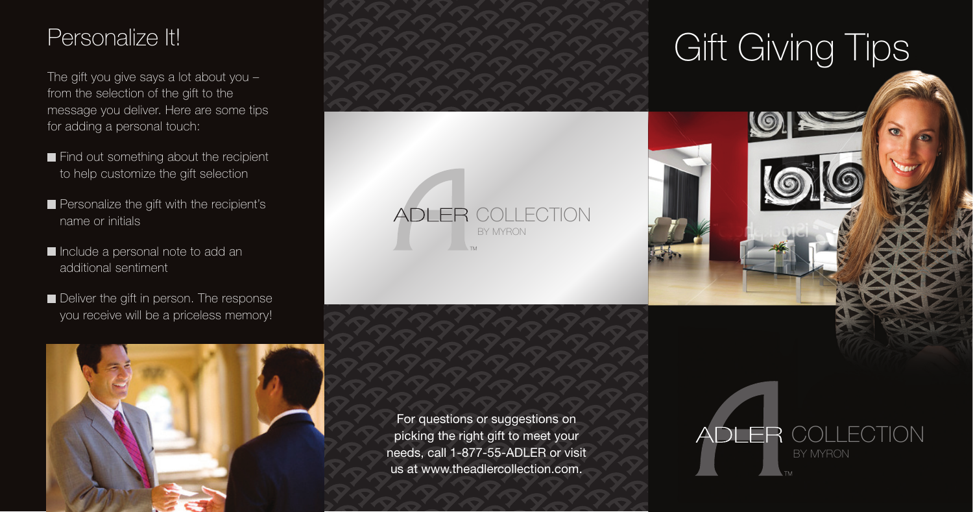### Personalize It!

The gift you give says a lot about you – from the selection of the gift to the message you deliver. Here are some tips for adding a personal touch:

- Find out something about the recipient to help customize the gift selection
- Personalize the gift with the recipient's name or initials
- Include a personal note to add an additional sentiment
- Deliver the gift in person. The response you receive will be a priceless memory!



For questions or suggestions on picking the right gift to meet your needs, call 1-877-55-ADLER or visit us at www.theadlercollection.com.

COLLECTION

BY MYRON

**ADLER** 

## **Gift Giving Tips**

COLLECTION

BY MYRON

DLER